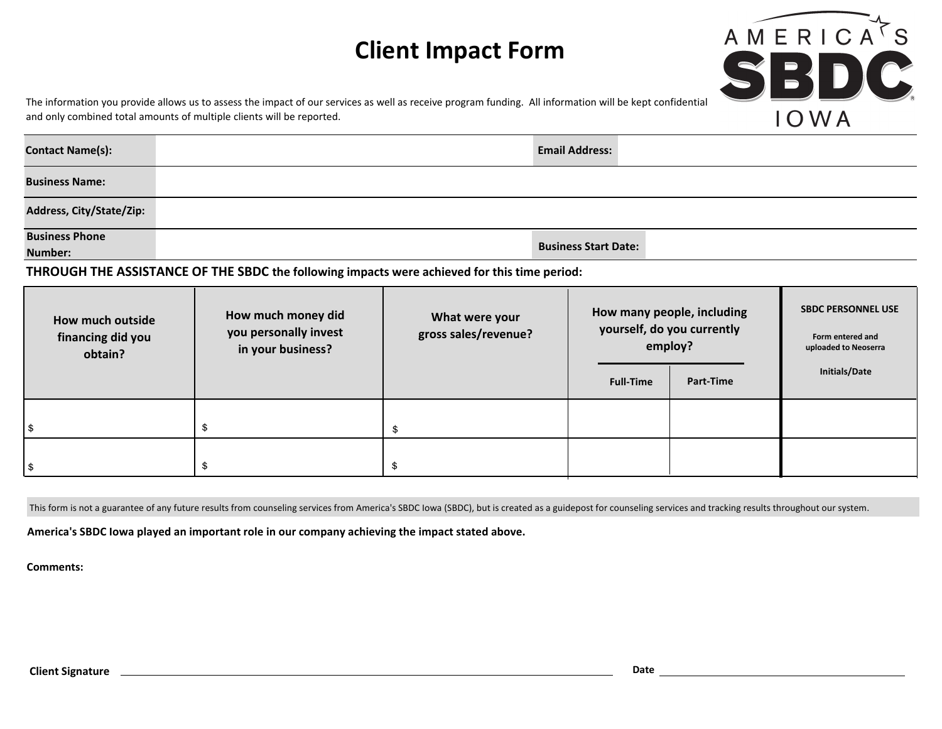## **Client Impact Form**



The information you provide allows us to assess the impact of our services as well as receive program funding. All information will be kept confidential and only combined total amounts of multiple clients will be reported.

| <b>Contact Name(s):</b>  | <b>Email Address:</b> |
|--------------------------|-----------------------|
| <b>Business Name:</b>    |                       |
| Address, City/State/Zip: |                       |

**Business Phone** 

**Number:**

**Business Start Date:**

**THROUGH THE ASSISTANCE OF THE SBDC the following impacts were achieved for this time period:** 

| How much outside<br>financing did you<br>obtain? | How much money did<br>you personally invest<br>in your business? | What were your<br>gross sales/revenue? | employ?<br><b>Full-Time</b> | How many people, including<br>yourself, do you currently<br>Part-Time | <b>SBDC PERSONNEL USE</b><br>Form entered and<br>uploaded to Neoserra<br>Initials/Date |
|--------------------------------------------------|------------------------------------------------------------------|----------------------------------------|-----------------------------|-----------------------------------------------------------------------|----------------------------------------------------------------------------------------|
|                                                  |                                                                  |                                        |                             |                                                                       |                                                                                        |
|                                                  |                                                                  |                                        |                             |                                                                       |                                                                                        |

This form is not a guarantee of any future results from counseling services from America's SBDC Iowa (SBDC), but is created as a guidepost for counseling services and tracking results throughout our system.

**America's SBDC Iowa played an important role in our company achieving the impact stated above.**

**Comments:**